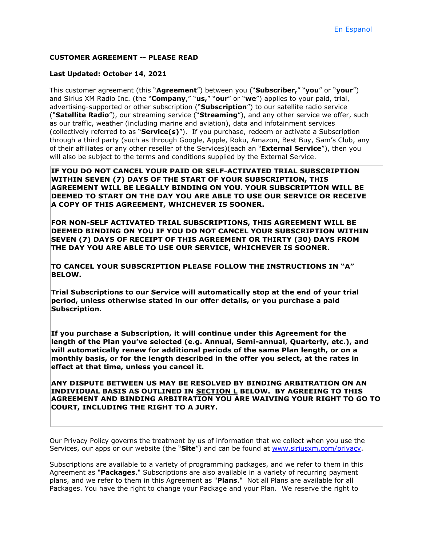#### **CUSTOMER AGREEMENT -- PLEASE READ**

#### **Last Updated: October 14, 2021**

This customer agreement (this "**Agreement**") between you ("**Subscriber,**" "**you**" or "**your**") and Sirius XM Radio Inc. (the "**Company**," "**us,**" "**our**" or "**we**") applies to your paid, trial, advertising-supported or other subscription ("**Subscription**") to our satellite radio service ("**Satellite Radio**"), our streaming service ("**Streaming**"), and any other service we offer, such as our traffic, weather (including marine and aviation), data and infotainment services (collectively referred to as "**Service(s)**"). If you purchase, redeem or activate a Subscription through a third party (such as through Google, Apple, Roku, Amazon, Best Buy, Sam's Club, any of their affiliates or any other reseller of the Services)(each an "**External Service**"), then you will also be subject to the terms and conditions supplied by the External Service.

**IF YOU DO NOT CANCEL YOUR PAID OR SELF-ACTIVATED TRIAL SUBSCRIPTION WITHIN SEVEN (7) DAYS OF THE START OF YOUR SUBSCRIPTION, THIS AGREEMENT WILL BE LEGALLY BINDING ON YOU. YOUR SUBSCRIPTION WILL BE DEEMED TO START ON THE DAY YOU ARE ABLE TO USE OUR SERVICE OR RECEIVE A COPY OF THIS AGREEMENT, WHICHEVER IS SOONER.**

**FOR NON-SELF ACTIVATED TRIAL SUBSCRIPTIONS, THIS AGREEMENT WILL BE DEEMED BINDING ON YOU IF YOU DO NOT CANCEL YOUR SUBSCRIPTION WITHIN SEVEN (7) DAYS OF RECEIPT OF THIS AGREEMENT OR THIRTY (30) DAYS FROM THE DAY YOU ARE ABLE TO USE OUR SERVICE, WHICHEVER IS SOONER.** 

**TO CANCEL YOUR SUBSCRIPTION PLEASE FOLLOW THE INSTRUCTIONS IN "A" BELOW.**

**Trial Subscriptions to our Service will automatically stop at the end of your trial period, unless otherwise stated in our offer details, or you purchase a paid Subscription.**

**If you purchase a Subscription, it will continue under this Agreement for the length of the Plan you've selected (e.g. Annual, Semi-annual, Quarterly, etc.), and will automatically renew for additional periods of the same Plan length, or on a monthly basis, or for the length described in the offer you select, at the rates in effect at that time, unless you cancel it.** 

**ANY DISPUTE BETWEEN US MAY BE RESOLVED BY BINDING ARBITRATION ON AN INDIVIDUAL BASIS AS OUTLINED IN SECTION L BELOW. BY AGREEING TO THIS AGREEMENT AND BINDING ARBITRATION YOU ARE WAIVING YOUR RIGHT TO GO TO COURT, INCLUDING THE RIGHT TO A JURY.**

Our Privacy Policy governs the treatment by us of information that we collect when you use the Services, our apps or our website (the "**Site**") and can be found at [www.siriusxm.com/privacy.](http://www.siriusxm.com/privacy)

Subscriptions are available to a variety of programming packages, and we refer to them in this Agreement as "**Packages**." Subscriptions are also available in a variety of recurring payment plans, and we refer to them in this Agreement as "**Plans**." Not all Plans are available for all Packages. You have the right to change your Package and your Plan. We reserve the right to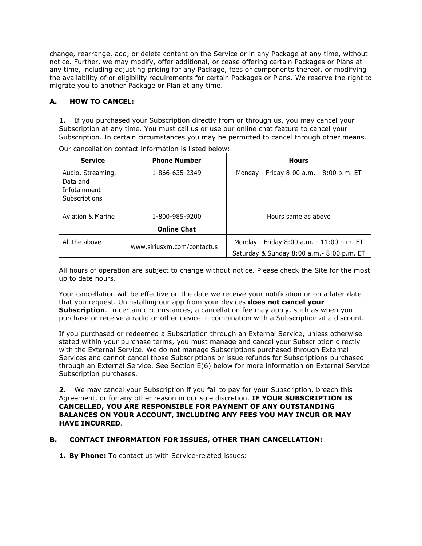change, rearrange, add, or delete content on the Service or in any Package at any time, without notice. Further, we may modify, offer additional, or cease offering certain Packages or Plans at any time, including adjusting pricing for any Package, fees or components thereof, or modifying the availability of or eligibility requirements for certain Packages or Plans. We reserve the right to migrate you to another Package or Plan at any time.

# **A. HOW TO CANCEL:**

**1.** If you purchased your Subscription directly from or through us, you may cancel your Subscription at any time. You must call us or use our online chat feature to cancel your Subscription. In certain circumstances you may be permitted to cancel through other means.

| <b>Service</b>                                                        | <b>Phone Number</b>        | <b>Hours</b>                                                                            |
|-----------------------------------------------------------------------|----------------------------|-----------------------------------------------------------------------------------------|
| Audio, Streaming,<br>Data and<br>Infotainment<br><b>Subscriptions</b> | 1-866-635-2349             | Monday - Friday 8:00 a.m. - 8:00 p.m. ET                                                |
| <b>Aviation &amp; Marine</b>                                          | 1-800-985-9200             | Hours same as above                                                                     |
|                                                                       | <b>Online Chat</b>         |                                                                                         |
| All the above                                                         | www.siriusxm.com/contactus | Monday - Friday 8:00 a.m. - 11:00 p.m. ET<br>Saturday & Sunday 8:00 a.m. - 8:00 p.m. ET |

Our cancellation contact information is listed below:

All hours of operation are subject to change without notice. Please check the Site for the most up to date hours.

Your cancellation will be effective on the date we receive your notification or on a later date that you request. Uninstalling our app from your devices **does not cancel your Subscription**. In certain circumstances, a cancellation fee may apply, such as when you purchase or receive a radio or other device in combination with a Subscription at a discount.

If you purchased or redeemed a Subscription through an External Service, unless otherwise stated within your purchase terms, you must manage and cancel your Subscription directly with the External Service. We do not manage Subscriptions purchased through External Services and cannot cancel those Subscriptions or issue refunds for Subscriptions purchased through an External Service. See Section E(6) below for more information on External Service Subscription purchases.

**2.** We may cancel your Subscription if you fail to pay for your Subscription, breach this Agreement, or for any other reason in our sole discretion. **IF YOUR SUBSCRIPTION IS CANCELLED, YOU ARE RESPONSIBLE FOR PAYMENT OF ANY OUTSTANDING BALANCES ON YOUR ACCOUNT, INCLUDING ANY FEES YOU MAY INCUR OR MAY HAVE INCURRED**.

### **B. CONTACT INFORMATION FOR ISSUES, OTHER THAN CANCELLATION:**

**1. By Phone:** To contact us with Service-related issues: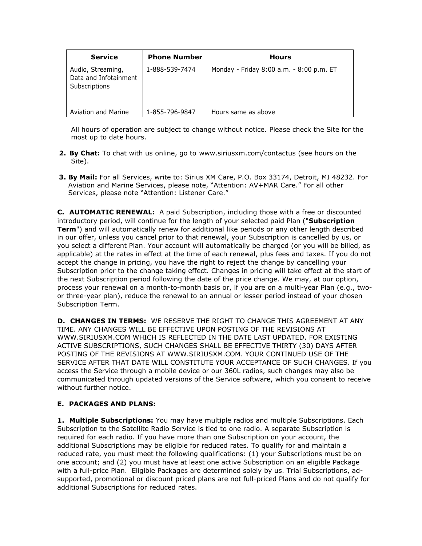| <b>Service</b>                                              | <b>Phone Number</b> | <b>Hours</b>                             |
|-------------------------------------------------------------|---------------------|------------------------------------------|
| Audio, Streaming,<br>Data and Infotainment<br>Subscriptions | 1-888-539-7474      | Monday - Friday 8:00 a.m. - 8:00 p.m. ET |
| Aviation and Marine                                         | 1-855-796-9847      | Hours same as above                      |

All hours of operation are subject to change without notice. Please check the Site for the most up to date hours.

- **2. By Chat:** To chat with us online, go to [www.siriusxm.com/contactus](http://www.siriusxm.com/contactus) (see hours on the Site).
- **3. By Mail:** For all Services, write to: Sirius XM Care, P.O. Box 33174, Detroit, MI 48232. For Aviation and Marine Services, please note, "Attention: AV+MAR Care." For all other Services, please note "Attention: Listener Care."

**C. AUTOMATIC RENEWAL:** A paid Subscription, including those with a free or discounted introductory period, will continue for the length of your selected paid Plan ("**Subscription Term**") and will automatically renew for additional like periods or any other length described in our offer, unless you cancel prior to that renewal, your Subscription is cancelled by us, or you select a different Plan. Your account will automatically be charged (or you will be billed, as applicable) at the rates in effect at the time of each renewal, plus fees and taxes. If you do not accept the change in pricing, you have the right to reject the change by cancelling your Subscription prior to the change taking effect. Changes in pricing will take effect at the start of the next Subscription period following the date of the price change. We may, at our option, process your renewal on a month-to-month basis or, if you are on a multi-year Plan (e.g., twoor three-year plan), reduce the renewal to an annual or lesser period instead of your chosen Subscription Term.

**D. CHANGES IN TERMS:** WE RESERVE THE RIGHT TO CHANGE THIS AGREEMENT AT ANY TIME. ANY CHANGES WILL BE EFFECTIVE UPON POSTING OF THE REVISIONS AT [WWW.SIRIUSXM.COM](http://www.siriusxm.com/) WHICH IS REFLECTED IN THE DATE LAST UPDATED. FOR EXISTING ACTIVE SUBSCRIPTIONS, SUCH CHANGES SHALL BE EFFECTIVE THIRTY (30) DAYS AFTER POSTING OF THE REVISIONS AT [WWW.SIRIUSXM.COM.](http://www.siriusxm.com/) YOUR CONTINUED USE OF THE SERVICE AFTER THAT DATE WILL CONSTITUTE YOUR ACCEPTANCE OF SUCH CHANGES. If you access the Service through a mobile device or our 360L radios, such changes may also be communicated through updated versions of the Service software, which you consent to receive without further notice.

# **E. PACKAGES AND PLANS:**

**1. Multiple Subscriptions:** You may have multiple radios and multiple Subscriptions. Each Subscription to the Satellite Radio Service is tied to one radio. A separate Subscription is required for each radio. If you have more than one Subscription on your account, the additional Subscriptions may be eligible for reduced rates. To qualify for and maintain a reduced rate, you must meet the following qualifications: (1) your Subscriptions must be on one account; and (2) you must have at least one active Subscription on an eligible Package with a full-price Plan. Eligible Packages are determined solely by us. Trial Subscriptions, adsupported, promotional or discount priced plans are not full-priced Plans and do not qualify for additional Subscriptions for reduced rates.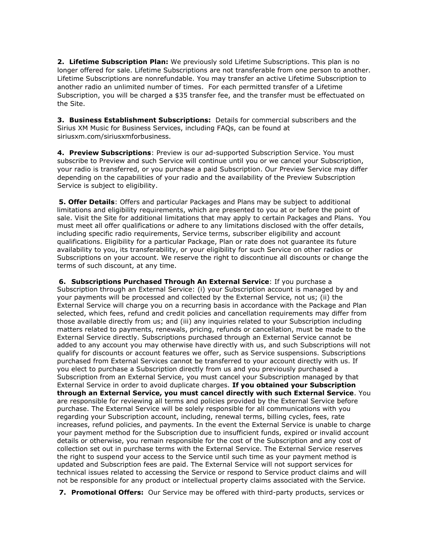**2. Lifetime Subscription Plan:** We previously sold Lifetime Subscriptions. This plan is no longer offered for sale. Lifetime Subscriptions are not transferable from one person to another. Lifetime Subscriptions are nonrefundable. You may transfer an active Lifetime Subscription to another radio an unlimited number of times. For each permitted transfer of a Lifetime Subscription, you will be charged a \$35 transfer fee, and the transfer must be effectuated on the Site.

**3. Business Establishment Subscriptions:** Details for commercial subscribers and the Sirius XM Music for Business Services, including FAQs, can be found at siriusxm.com/siriusxmforbusiness.

**4. Preview Subscriptions**: Preview is our ad-supported Subscription Service. You must subscribe to Preview and such Service will continue until you or we cancel your Subscription, your radio is transferred, or you purchase a paid Subscription. Our Preview Service may differ depending on the capabilities of your radio and the availability of the Preview Subscription Service is subject to eligibility.

**5. Offer Details**: Offers and particular Packages and Plans may be subject to additional limitations and eligibility requirements, which are presented to you at or before the point of sale. Visit the Site for additional limitations that may apply to certain Packages and Plans. You must meet all offer qualifications or adhere to any limitations disclosed with the offer details, including specific radio requirements, Service terms, subscriber eligibility and account qualifications. Eligibility for a particular Package, Plan or rate does not guarantee its future availability to you, its transferability, or your eligibility for such Service on other radios or Subscriptions on your account. We reserve the right to discontinue all discounts or change the terms of such discount, at any time.

**6. Subscriptions Purchased Through An External Service**: If you purchase a Subscription through an External Service: (i) your Subscription account is managed by and your payments will be processed and collected by the External Service, not us; (ii) the External Service will charge you on a recurring basis in accordance with the Package and Plan selected, which fees, refund and credit policies and cancellation requirements may differ from those available directly from us; and (iii) any inquiries related to your Subscription including matters related to payments, renewals, pricing, refunds or cancellation, must be made to the External Service directly. Subscriptions purchased through an External Service cannot be added to any account you may otherwise have directly with us, and such Subscriptions will not qualify for discounts or account features we offer, such as Service suspensions. Subscriptions purchased from External Services cannot be transferred to your account directly with us. If you elect to purchase a Subscription directly from us and you previously purchased a Subscription from an External Service, you must cancel your Subscription managed by that External Service in order to avoid duplicate charges. **If you obtained your Subscription through an External Service, you must cancel directly with such External Service**. You are responsible for reviewing all terms and policies provided by the External Service before purchase. The External Service will be solely responsible for all communications with you regarding your Subscription account, including, renewal terms, billing cycles, fees, rate increases, refund policies, and payments. In the event the External Service is unable to charge your payment method for the Subscription due to insufficient funds, expired or invalid account details or otherwise, you remain responsible for the cost of the Subscription and any cost of collection set out in purchase terms with the External Service. The External Service reserves the right to suspend your access to the Service until such time as your payment method is updated and Subscription fees are paid. The External Service will not support services for technical issues related to accessing the Service or respond to Service product claims and will not be responsible for any product or intellectual property claims associated with the Service.

**7. Promotional Offers:** Our Service may be offered with third-party products, services or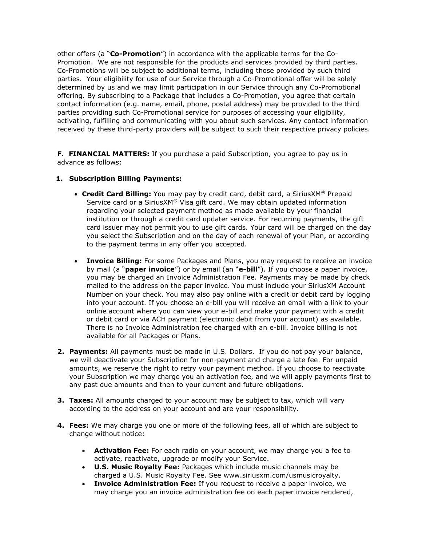other offers (a "**Co-Promotion**") in accordance with the applicable terms for the Co-Promotion. We are not responsible for the products and services provided by third parties. Co-Promotions will be subject to additional terms, including those provided by such third parties. Your eligibility for use of our Service through a Co-Promotional offer will be solely determined by us and we may limit participation in our Service through any Co-Promotional offering. By subscribing to a Package that includes a Co-Promotion, you agree that certain contact information (e.g. name, email, phone, postal address) may be provided to the third parties providing such Co-Promotional service for purposes of accessing your eligibility, activating, fulfilling and communicating with you about such services. Any contact information received by these third-party providers will be subject to such their respective privacy policies.

**F. FINANCIAL MATTERS:** If you purchase a paid Subscription, you agree to pay us in advance as follows:

### **1. Subscription Billing Payments:**

- **Credit Card Billing:** You may pay by credit card, debit card, a SiriusXM® Prepaid Service card or a SiriusX $M^{\circledR}$  Visa gift card. We may obtain updated information regarding your selected payment method as made available by your financial institution or through a credit card updater service. For recurring payments, the gift card issuer may not permit you to use gift cards. Your card will be charged on the day you select the Subscription and on the day of each renewal of your Plan, or according to the payment terms in any offer you accepted.
- **Invoice Billing:** For some Packages and Plans, you may request to receive an invoice by mail (a "**paper invoice**") or by email (an "**e-bill**"). If you choose a paper invoice, you may be charged an Invoice Administration Fee. Payments may be made by check mailed to the address on the paper invoice. You must include your SiriusXM Account Number on your check. You may also pay online with a credit or debit card by logging into your account. If you choose an e-bill you will receive an email with a link to your online account where you can view your e-bill and make your payment with a credit or debit card or via ACH payment (electronic debit from your account) as available. There is no Invoice Administration fee charged with an e-bill. Invoice billing is not available for all Packages or Plans.
- **2. Payments:** All payments must be made in U.S. Dollars. If you do not pay your balance, we will deactivate your Subscription for non-payment and charge a late fee. For unpaid amounts, we reserve the right to retry your payment method. If you choose to reactivate your Subscription we may charge you an activation fee, and we will apply payments first to any past due amounts and then to your current and future obligations.
- **3. Taxes:** All amounts charged to your account may be subject to tax, which will vary according to the address on your account and are your responsibility.
- **4. Fees:** We may charge you one or more of the following fees, all of which are subject to change without notice:
	- **Activation Fee:** For each radio on your account, we may charge you a fee to activate, reactivate, upgrade or modify your Service.
	- **U.S. Music Royalty Fee:** Packages which include music channels may be charged a U.S. Music Royalty Fee. See [www.siriusxm.com/usmusicroyalty.](http://www.siriusxm.com/usmusicroyalty)
	- **Invoice Administration Fee:** If you request to receive a paper invoice, we may charge you an invoice administration fee on each paper invoice rendered,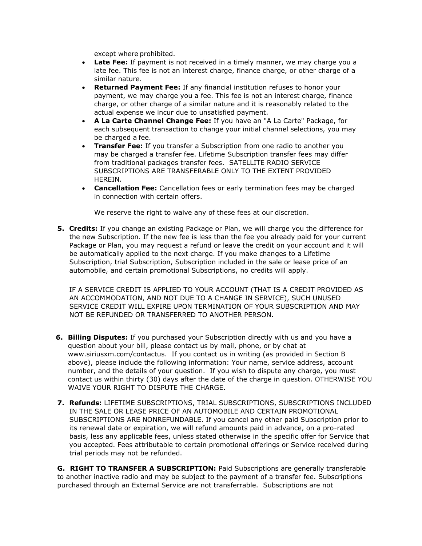except where prohibited.

- **Late Fee:** If payment is not received in a timely manner, we may charge you a late fee. This fee is not an interest charge, finance charge, or other charge of a similar nature.
- **Returned Payment Fee:** If any financial institution refuses to honor your payment, we may charge you a fee. This fee is not an interest charge, finance charge, or other charge of a similar nature and it is reasonably related to the actual expense we incur due to unsatisfied payment.
- **A La Carte Channel Change Fee:** If you have an "A La Carte" Package, for each subsequent transaction to change your initial channel selections, you may be charged a fee.
- **Transfer Fee:** If you transfer a Subscription from one radio to another you may be charged a transfer fee. Lifetime Subscription transfer fees may differ from traditional packages transfer fees. SATELLITE RADIO SERVICE SUBSCRIPTIONS ARE TRANSFERABLE ONLY TO THE EXTENT PROVIDED HEREIN.
- **Cancellation Fee:** Cancellation fees or early termination fees may be charged in connection with certain offers.

We reserve the right to waive any of these fees at our discretion.

**5. Credits:** If you change an existing Package or Plan, we will charge you the difference for the new Subscription. If the new fee is less than the fee you already paid for your current Package or Plan, you may request a refund or leave the credit on your account and it will be automatically applied to the next charge. If you make changes to a Lifetime Subscription, trial Subscription, Subscription included in the sale or lease price of an automobile, and certain promotional Subscriptions, no credits will apply.

IF A SERVICE CREDIT IS APPLIED TO YOUR ACCOUNT (THAT IS A CREDIT PROVIDED AS AN ACCOMMODATION, AND NOT DUE TO A CHANGE IN SERVICE), SUCH UNUSED SERVICE CREDIT WILL EXPIRE UPON TERMINATION OF YOUR SUBSCRIPTION AND MAY NOT BE REFUNDED OR TRANSFERRED TO ANOTHER PERSON.

- **6. Billing Disputes:** If you purchased your Subscription directly with us and you have a question about your bill, please contact us by mail, phone, or by chat at [www.siriusxm.com/contactus.](http://www.siriusxm.com/contactus) If you contact us in writing (as provided in Section B above), please include the following information: Your name, service address, account number, and the details of your question. If you wish to dispute any charge, you must contact us within thirty (30) days after the date of the charge in question. OTHERWISE YOU WAIVE YOUR RIGHT TO DISPUTE THE CHARGE.
- **7. Refunds:** LIFETIME SUBSCRIPTIONS, TRIAL SUBSCRIPTIONS, SUBSCRIPTIONS INCLUDED IN THE SALE OR LEASE PRICE OF AN AUTOMOBILE AND CERTAIN PROMOTIONAL SUBSCRIPTIONS ARE NONREFUNDABLE. If you cancel any other paid Subscription prior to its renewal date or expiration, we will refund amounts paid in advance, on a pro-rated basis, less any applicable fees, unless stated otherwise in the specific offer for Service that you accepted. Fees attributable to certain promotional offerings or Service received during trial periods may not be refunded.

**G. RIGHT TO TRANSFER A SUBSCRIPTION:** Paid Subscriptions are generally transferable to another inactive radio and may be subject to the payment of a transfer fee. Subscriptions purchased through an External Service are not transferrable. Subscriptions are not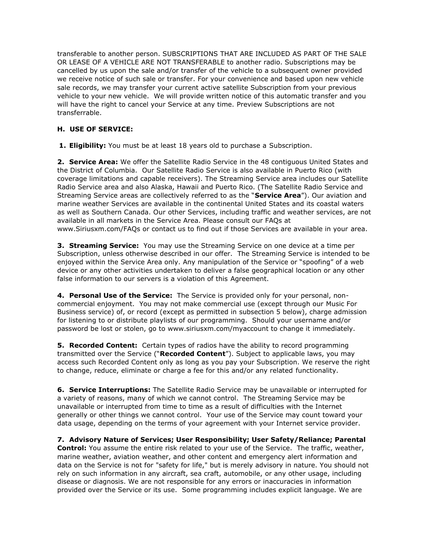transferable to another person. SUBSCRIPTIONS THAT ARE INCLUDED AS PART OF THE SALE OR LEASE OF A VEHICLE ARE NOT TRANSFERABLE to another radio. Subscriptions may be cancelled by us upon the sale and/or transfer of the vehicle to a subsequent owner provided we receive notice of such sale or transfer. For your convenience and based upon new vehicle sale records, we may transfer your current active satellite Subscription from your previous vehicle to your new vehicle. We will provide written notice of this automatic transfer and you will have the right to cancel your Service at any time. Preview Subscriptions are not transferrable.

## **H. USE OF SERVICE:**

**1. Eligibility:** You must be at least 18 years old to purchase a Subscription.

**2. Service Area:** We offer the Satellite Radio Service in the 48 contiguous United States and the District of Columbia. Our Satellite Radio Service is also available in Puerto Rico (with coverage limitations and capable receivers). The Streaming Service area includes our Satellite Radio Service area and also Alaska, Hawaii and Puerto Rico. (The Satellite Radio Service and Streaming Service areas are collectively referred to as the "**Service Area**"). Our aviation and marine weather Services are available in the continental United States and its coastal waters as well as Southern Canada. Our other Services, including traffic and weather services, are not available in all markets in the Service Area. Please consult our FAQs at [www.Siriusxm.com/FAQs o](http://www.siriusxm.com/FAQs)r contact us to find out if those Services are available in your area.

**3. Streaming Service:** You may use the Streaming Service on one device at a time per Subscription, unless otherwise described in our offer. The Streaming Service is intended to be enjoyed within the Service Area only. Any manipulation of the Service or "spoofing" of a web device or any other activities undertaken to deliver a false geographical location or any other false information to our servers is a violation of this Agreement.

**4. Personal Use of the Service:** The Service is provided only for your personal, noncommercial enjoyment. You may not make commercial use (except through our [Music For](https://www.siriusxm.com/siriusxmforbusiness)  [Business s](https://www.siriusxm.com/siriusxmforbusiness)ervice) of, or record (except as permitted in subsection 5 below), charge admission for listening to or distribute playlists of our programming. Should your username and/or password be lost or stolen, go to [www.siriusxm.com/myaccount t](http://www.siriusxm.com/myaccount)o change it immediately.

**5. Recorded Content:** Certain types of radios have the ability to record programming transmitted over the Service ("**Recorded Content**"). Subject to applicable laws, you may access such Recorded Content only as long as you pay your Subscription. We reserve the right to change, reduce, eliminate or charge a fee for this and/or any related functionality.

**6. Service Interruptions:** The Satellite Radio Service may be unavailable or interrupted for a variety of reasons, many of which we cannot control. The Streaming Service may be unavailable or interrupted from time to time as a result of difficulties with the Internet generally or other things we cannot control. Your use of the Service may count toward your data usage, depending on the terms of your agreement with your Internet service provider.

**7. Advisory Nature of Services; User Responsibility; User Safety/Reliance; Parental Control:** You assume the entire risk related to your use of the Service. The traffic, weather, marine weather, aviation weather, and other content and emergency alert information and data on the Service is not for "safety for life," but is merely advisory in nature. You should not rely on such information in any aircraft, sea craft, automobile, or any other usage, including disease or diagnosis. We are not responsible for any errors or inaccuracies in information provided over the Service or its use. Some programming includes explicit language. We are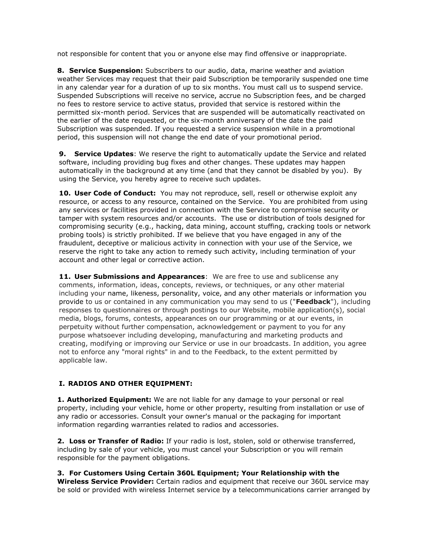not responsible for content that you or anyone else may find offensive or inappropriate.

**8. Service Suspension:** Subscribers to our audio, data, marine weather and aviation weather Services may request that their paid Subscription be temporarily suspended one time in any calendar year for a duration of up to six months. You must call us to suspend service. Suspended Subscriptions will receive no service, accrue no Subscription fees, and be charged no fees to restore service to active status, provided that service is restored within the permitted six-month period. Services that are suspended will be automatically reactivated on the earlier of the date requested, or the six-month anniversary of the date the paid Subscription was suspended. If you requested a service suspension while in a promotional period, this suspension will not change the end date of your promotional period.

**9. Service Updates**: We reserve the right to automatically update the Service and related software, including providing bug fixes and other changes. These updates may happen automatically in the background at any time (and that they cannot be disabled by you). By using the Service, you hereby agree to receive such updates.

**10. User Code of Conduct:** You may not reproduce, sell, resell or otherwise exploit any resource, or access to any resource, contained on the Service. You are prohibited from using any services or facilities provided in connection with the Service to compromise security or tamper with system resources and/or accounts. The use or distribution of tools designed for compromising security (e.g., hacking, data mining, account stuffing, cracking tools or network probing tools) is strictly prohibited. If we believe that you have engaged in any of the fraudulent, deceptive or malicious activity in connection with your use of the Service, we reserve the right to take any action to remedy such activity, including termination of your account and other legal or corrective action.

**11. User Submissions and Appearances**: We are free to use and sublicense any comments, information, ideas, concepts, reviews, or techniques, or any other material including your name, likeness, personality, voice, and any other materials or information you provide to us or contained in any communication you may send to us ("**Feedback**"), including responses to questionnaires or through postings to our Website, mobile application(s), social media, blogs, forums, contests, appearances on our programming or at our events, in perpetuity without further compensation, acknowledgement or payment to you for any purpose whatsoever including developing, manufacturing and marketing products and creating, modifying or improving our Service or use in our broadcasts. In addition, you agree not to enforce any "moral rights" in and to the Feedback, to the extent permitted by applicable law.

# **I. RADIOS AND OTHER EQUIPMENT:**

**1. Authorized Equipment:** We are not liable for any damage to your personal or real property, including your vehicle, home or other property, resulting from installation or use of any radio or accessories. Consult your owner's manual or the packaging for important information regarding warranties related to radios and accessories.

**2. Loss or Transfer of Radio:** If your radio is lost, stolen, sold or otherwise transferred, including by sale of your vehicle, you must cancel your Subscription or you will remain responsible for the payment obligations.

**3. For Customers Using Certain 360L Equipment; Your Relationship with the Wireless Service Provider:** Certain radios and equipment that receive our 360L service may be sold or provided with wireless Internet service by a telecommunications carrier arranged by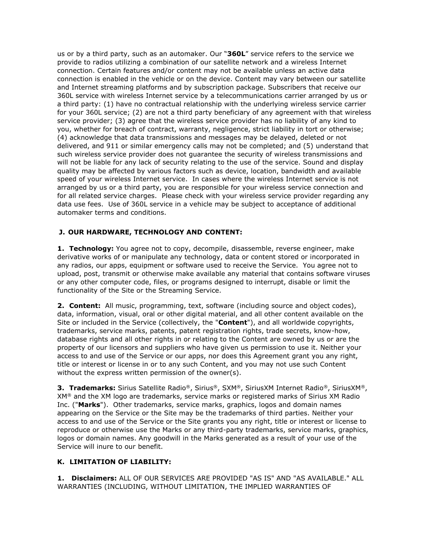us or by a third party, such as an automaker. Our "**360L**" service refers to the service we provide to radios utilizing a combination of our satellite network and a wireless Internet connection. Certain features and/or content may not be available unless an active data connection is enabled in the vehicle or on the device. Content may vary between our satellite and Internet streaming platforms and by subscription package. Subscribers that receive our 360L service with wireless Internet service by a telecommunications carrier arranged by us or a third party: (1) have no contractual relationship with the underlying wireless service carrier for your 360L service; (2) are not a third party beneficiary of any agreement with that wireless service provider; (3) agree that the wireless service provider has no liability of any kind to you, whether for breach of contract, warranty, negligence, strict liability in tort or otherwise; (4) acknowledge that data transmissions and messages may be delayed, deleted or not delivered, and 911 or similar emergency calls may not be completed; and (5) understand that such wireless service provider does not guarantee the security of wireless transmissions and will not be liable for any lack of security relating to the use of the service. Sound and display quality may be affected by various factors such as device, location, bandwidth and available speed of your wireless Internet service. In cases where the wireless Internet service is not arranged by us or a third party, you are responsible for your wireless service connection and for all related service charges. Please check with your wireless service provider regarding any data use fees. Use of 360L service in a vehicle may be subject to acceptance of additional automaker terms and conditions.

### **J. OUR HARDWARE, TECHNOLOGY AND CONTENT:**

**1. Technology:** You agree not to copy, decompile, disassemble, reverse engineer, make derivative works of or manipulate any technology, data or content stored or incorporated in any radios, our apps, equipment or software used to receive the Service. You agree not to upload, post, transmit or otherwise make available any material that contains software viruses or any other computer code, files, or programs designed to interrupt, disable or limit the functionality of the Site or the Streaming Service.

**2. Content:** All music, programming, text, software (including source and object codes), data, information, visual, oral or other digital material, and all other content available on the Site or included in the Service (collectively, the "**Content**"), and all worldwide copyrights, trademarks, service marks, patents, patent registration rights, trade secrets, know-how, database rights and all other rights in or relating to the Content are owned by us or are the property of our licensors and suppliers who have given us permission to use it. Neither your access to and use of the Service or our apps, nor does this Agreement grant you any right, title or interest or license in or to any such Content, and you may not use such Content without the express written permission of the owner(s).

**3. Trademarks:** Sirius Satellite Radio®, Sirius®, SXM®, SiriusXM Internet Radio®, SiriusXM®, XM® and the XM logo are trademarks, service marks or registered marks of Sirius XM Radio Inc. ("**Marks**"). Other trademarks, service marks, graphics, logos and domain names appearing on the Service or the Site may be the trademarks of third parties. Neither your access to and use of the Service or the Site grants you any right, title or interest or license to reproduce or otherwise use the Marks or any third-party trademarks, service marks, graphics, logos or domain names. Any goodwill in the Marks generated as a result of your use of the Service will inure to our benefit.

### **K. LIMITATION OF LIABILITY:**

**1. Disclaimers:** ALL OF OUR SERVICES ARE PROVIDED "AS IS" AND "AS AVAILABLE." ALL WARRANTIES (INCLUDING, WITHOUT LIMITATION, THE IMPLIED WARRANTIES OF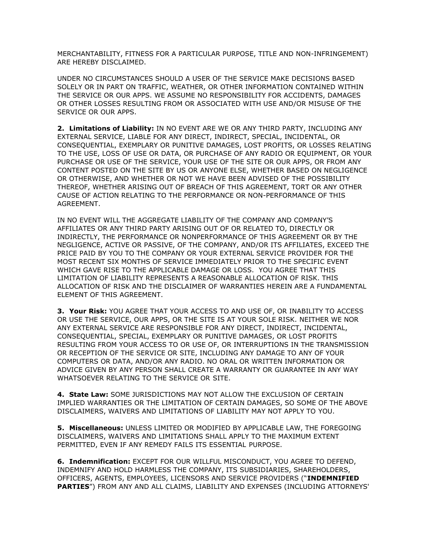MERCHANTABILITY, FITNESS FOR A PARTICULAR PURPOSE, TITLE AND NON-INFRINGEMENT) ARE HEREBY DISCLAIMED.

UNDER NO CIRCUMSTANCES SHOULD A USER OF THE SERVICE MAKE DECISIONS BASED SOLELY OR IN PART ON TRAFFIC, WEATHER, OR OTHER INFORMATION CONTAINED WITHIN THE SERVICE OR OUR APPS. WE ASSUME NO RESPONSIBILITY FOR ACCIDENTS, DAMAGES OR OTHER LOSSES RESULTING FROM OR ASSOCIATED WITH USE AND/OR MISUSE OF THE SERVICE OR OUR APPS.

**2. Limitations of Liability:** IN NO EVENT ARE WE OR ANY THIRD PARTY, INCLUDING ANY EXTERNAL SERVICE, LIABLE FOR ANY DIRECT, INDIRECT, SPECIAL, INCIDENTAL, OR CONSEQUENTIAL, EXEMPLARY OR PUNITIVE DAMAGES, LOST PROFITS, OR LOSSES RELATING TO THE USE, LOSS OF USE OR DATA, OR PURCHASE OF ANY RADIO OR EQUIPMENT, OR YOUR PURCHASE OR USE OF THE SERVICE, YOUR USE OF THE SITE OR OUR APPS, OR FROM ANY CONTENT POSTED ON THE SITE BY US OR ANYONE ELSE, WHETHER BASED ON NEGLIGENCE OR OTHERWISE, AND WHETHER OR NOT WE HAVE BEEN ADVISED OF THE POSSIBILITY THEREOF, WHETHER ARISING OUT OF BREACH OF THIS AGREEMENT, TORT OR ANY OTHER CAUSE OF ACTION RELATING TO THE PERFORMANCE OR NON-PERFORMANCE OF THIS AGREEMENT.

IN NO EVENT WILL THE AGGREGATE LIABILITY OF THE COMPANY AND COMPANY'S AFFILIATES OR ANY THIRD PARTY ARISING OUT OF OR RELATED TO, DIRECTLY OR INDIRECTLY, THE PERFORMANCE OR NONPERFORMANCE OF THIS AGREEMENT OR BY THE NEGLIGENCE, ACTIVE OR PASSIVE, OF THE COMPANY, AND/OR ITS AFFILIATES, EXCEED THE PRICE PAID BY YOU TO THE COMPANY OR YOUR EXTERNAL SERVICE PROVIDER FOR THE MOST RECENT SIX MONTHS OF SERVICE IMMEDIATELY PRIOR TO THE SPECIFIC EVENT WHICH GAVE RISE TO THE APPLICABLE DAMAGE OR LOSS. YOU AGREE THAT THIS LIMITATION OF LIABILITY REPRESENTS A REASONABLE ALLOCATION OF RISK. THIS ALLOCATION OF RISK AND THE DISCLAIMER OF WARRANTIES HEREIN ARE A FUNDAMENTAL ELEMENT OF THIS AGREEMENT.

**3. Your Risk:** YOU AGREE THAT YOUR ACCESS TO AND USE OF, OR INABILITY TO ACCESS OR USE THE SERVICE, OUR APPS, OR THE SITE IS AT YOUR SOLE RISK. NEITHER WE NOR ANY EXTERNAL SERVICE ARE RESPONSIBLE FOR ANY DIRECT, INDIRECT, INCIDENTAL, CONSEQUENTIAL, SPECIAL, EXEMPLARY OR PUNITIVE DAMAGES, OR LOST PROFITS RESULTING FROM YOUR ACCESS TO OR USE OF, OR INTERRUPTIONS IN THE TRANSMISSION OR RECEPTION OF THE SERVICE OR SITE, INCLUDING ANY DAMAGE TO ANY OF YOUR COMPUTERS OR DATA, AND/OR ANY RADIO. NO ORAL OR WRITTEN INFORMATION OR ADVICE GIVEN BY ANY PERSON SHALL CREATE A WARRANTY OR GUARANTEE IN ANY WAY WHATSOEVER RELATING TO THE SERVICE OR SITE.

**4. State Law:** SOME JURISDICTIONS MAY NOT ALLOW THE EXCLUSION OF CERTAIN IMPLIED WARRANTIES OR THE LIMITATION OF CERTAIN DAMAGES, SO SOME OF THE ABOVE DISCLAIMERS, WAIVERS AND LIMITATIONS OF LIABILITY MAY NOT APPLY TO YOU.

**5. Miscellaneous:** UNLESS LIMITED OR MODIFIED BY APPLICABLE LAW, THE FOREGOING DISCLAIMERS, WAIVERS AND LIMITATIONS SHALL APPLY TO THE MAXIMUM EXTENT PERMITTED, EVEN IF ANY REMEDY FAILS ITS ESSENTIAL PURPOSE.

**6. Indemnification:** EXCEPT FOR OUR WILLFUL MISCONDUCT, YOU AGREE TO DEFEND, INDEMNIFY AND HOLD HARMLESS THE COMPANY, ITS SUBSIDIARIES, SHAREHOLDERS, OFFICERS, AGENTS, EMPLOYEES, LICENSORS AND SERVICE PROVIDERS ("**INDEMNIFIED PARTIES**") FROM ANY AND ALL CLAIMS, LIABILITY AND EXPENSES (INCLUDING ATTORNEYS'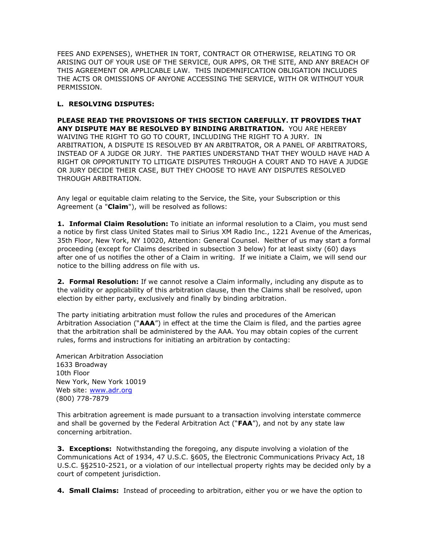FEES AND EXPENSES), WHETHER IN TORT, CONTRACT OR OTHERWISE, RELATING TO OR ARISING OUT OF YOUR USE OF THE SERVICE, OUR APPS, OR THE SITE, AND ANY BREACH OF THIS AGREEMENT OR APPLICABLE LAW. THIS INDEMNIFICATION OBLIGATION INCLUDES THE ACTS OR OMISSIONS OF ANYONE ACCESSING THE SERVICE, WITH OR WITHOUT YOUR PERMISSION.

## **L. RESOLVING DISPUTES:**

**PLEASE READ THE PROVISIONS OF THIS SECTION CAREFULLY. IT PROVIDES THAT ANY DISPUTE MAY BE RESOLVED BY BINDING ARBITRATION.** YOU ARE HEREBY WAIVING THE RIGHT TO GO TO COURT, INCLUDING THE RIGHT TO A JURY. IN ARBITRATION, A DISPUTE IS RESOLVED BY AN ARBITRATOR, OR A PANEL OF ARBITRATORS, INSTEAD OF A JUDGE OR JURY. THE PARTIES UNDERSTAND THAT THEY WOULD HAVE HAD A RIGHT OR OPPORTUNITY TO LITIGATE DISPUTES THROUGH A COURT AND TO HAVE A JUDGE OR JURY DECIDE THEIR CASE, BUT THEY CHOOSE TO HAVE ANY DISPUTES RESOLVED THROUGH ARBITRATION.

Any legal or equitable claim relating to the Service, the Site, your Subscription or this Agreement (a "**Claim**"), will be resolved as follows:

**1. Informal Claim Resolution:** To initiate an informal resolution to a Claim, you must send a notice by first class United States mail to Sirius XM Radio Inc., 1221 Avenue of the Americas, 35th Floor, New York, NY 10020, Attention: General Counsel. Neither of us may start a formal proceeding (except for Claims described in subsection 3 below) for at least sixty (60) days after one of us notifies the other of a Claim in writing. If we initiate a Claim, we will send our notice to the billing address on file with us.

**2. Formal Resolution:** If we cannot resolve a Claim informally, including any dispute as to the validity or applicability of this arbitration clause, then the Claims shall be resolved, upon election by either party, exclusively and finally by binding arbitration.

The party initiating arbitration must follow the rules and procedures of the American Arbitration Association ("**AAA**") in effect at the time the Claim is filed, and the parties agree that the arbitration shall be administered by the AAA. You may obtain copies of the current rules, forms and instructions for initiating an arbitration by contacting:

American Arbitration Association 1633 Broadway 10th Floor New York, New York 10019 Web site: [www.adr.org](http://www.adr.org/) (800) 778-7879

This arbitration agreement is made pursuant to a transaction involving interstate commerce and shall be governed by the Federal Arbitration Act ("**FAA**"), and not by any state law concerning arbitration.

**3. Exceptions:** Notwithstanding the foregoing, any dispute involving a violation of the Communications Act of 1934, 47 U.S.C. §605, the Electronic Communications Privacy Act, 18 U.S.C. §§2510-2521, or a violation of our intellectual property rights may be decided only by a court of competent jurisdiction.

**4. Small Claims:** Instead of proceeding to arbitration, either you or we have the option to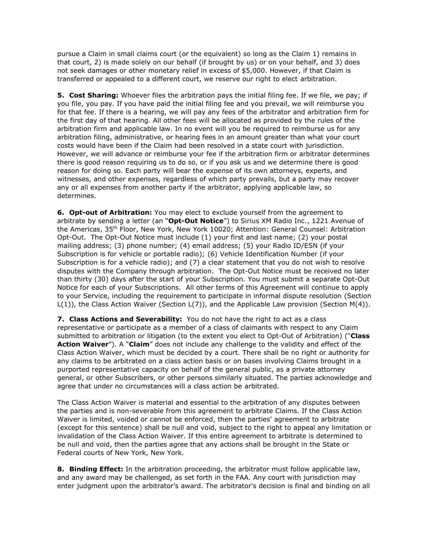pursue a Claim in small claims court (or the equivalent) so long as the Claim 1) remains in that court, 2) is made solely on our behalf (if brought by us) or on your behalf, and 3) does not seek damages or other monetary relief in excess of \$5,000. However, if that Claim is transferred or appealed to a different court, we reserve our right to elect arbitration.

**5. Cost Sharing:** Whoever files the arbitration pays the initial filing fee. If we file, we pay; if you file, you pay. If you have paid the initial filing fee and you prevail, we will reimburse you for that fee. If there is a hearing, we will pay any fees of the arbitrator and arbitration firm for the first day of that hearing. All other fees will be allocated as provided by the rules of the arbitration firm and applicable law. In no event will you be required to reimburse us for any arbitration filing, administrative, or hearing fees in an amount greater than what your court costs would have been if the Claim had been resolved in a state court with jurisdiction. However, we will advance or reimburse your fee if the arbitration firm or arbitrator determines there is good reason requiring us to do so, or if you ask us and we determine there is good reason for doing so. Each party will bear the expense of its own attorneys, experts, and witnesses, and other expenses, regardless of which party prevails, but a party may recover any or all expenses from another party if the arbitrator, applying applicable law, so determines.

**6. Opt-out of Arbitration:** You may elect to exclude yourself from the agreement to arbitrate by sending a letter (an "**Opt-Out Notice**") to Sirius XM Radio Inc., 1221 Avenue of the Americas, 35th Floor, New York, New York 10020; Attention: General Counsel: Arbitration Opt-Out. The Opt-Out Notice must include (1) your first and last name; (2) your postal mailing address; (3) phone number; (4) email address; (5) your Radio ID/ESN (if your Subscription is for vehicle or portable radio); (6) Vehicle Identification Number (if your Subscription is for a vehicle radio); and (7) a clear statement that you do not wish to resolve disputes with the Company through arbitration. The Opt-Out Notice must be received no later than thirty (30) days after the start of your Subscription. You must submit a separate Opt-Out Notice for each of your Subscriptions. All other terms of this Agreement will continue to apply to your Service, including the requirement to participate in informal dispute resolution (Section L(1)), the Class Action Waiver (Section L(7)), and the Applicable Law provision (Section M(4)).

**7. Class Actions and Severability:** You do not have the right to act as a class representative or participate as a member of a class of claimants with respect to any Claim submitted to arbitration or litigation (to the extent you elect to Opt-Out of Arbitration) ("**Class Action Waiver**"). A "**Claim**" does not include any challenge to the validity and effect of the Class Action Waiver, which must be decided by a court. There shall be no right or authority for any claims to be arbitrated on a class action basis or on bases involving Claims brought in a purported representative capacity on behalf of the general public, as a private attorney general, or other Subscribers, or other persons similarly situated. The parties acknowledge and agree that under no circumstances will a class action be arbitrated.

The Class Action Waiver is material and essential to the arbitration of any disputes between the parties and is non-severable from this agreement to arbitrate Claims. If the Class Action Waiver is limited, voided or cannot be enforced, then the parties' agreement to arbitrate (except for this sentence) shall be null and void, subject to the right to appeal any limitation or invalidation of the Class Action Waiver. If this entire agreement to arbitrate is determined to be null and void, then the parties agree that any actions shall be brought in the State or Federal courts of New York, New York.

**8. Binding Effect:** In the arbitration proceeding, the arbitrator must follow applicable law, and any award may be challenged, as set forth in the FAA. Any court with jurisdiction may enter judgment upon the arbitrator's award. The arbitrator's decision is final and binding on all